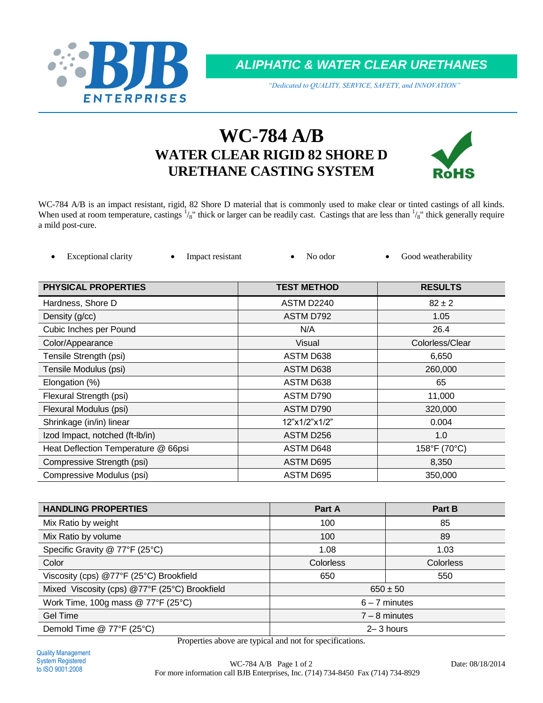

*ALIPHATIC & WATER CLEAR URETHANES*

*"Dedicated to QUALITY, SERVICE, SAFETY, and INNOVATION"*

# **WC-784 A/B WATER CLEAR RIGID 82 SHORE D URETHANE CASTING SYSTEM**



WC-784 A/B is an impact resistant, rigid, 82 Shore D material that is commonly used to make clear or tinted castings of all kinds. When used at room temperature, castings  $\frac{1}{8}$ " thick or larger can be readily cast. Castings that are less than  $\frac{1}{8}$ " thick generally require a mild post-cure.

| Exceptional clarity | Impact resistant | No odor | Good weatherability |
|---------------------|------------------|---------|---------------------|
|                     |                  |         |                     |

| <b>PHYSICAL PROPERTIES</b>          | <b>TEST METHOD</b> | <b>RESULTS</b>  |
|-------------------------------------|--------------------|-----------------|
| Hardness, Shore D                   | ASTM D2240         | $82 \pm 2$      |
| Density (g/cc)                      | ASTM D792          | 1.05            |
| Cubic Inches per Pound              | N/A                | 26.4            |
| Color/Appearance                    | Visual             | Colorless/Clear |
| Tensile Strength (psi)              | ASTM D638          | 6,650           |
| Tensile Modulus (psi)               | ASTM D638          | 260,000         |
| Elongation (%)                      | ASTM D638          | 65              |
| Flexural Strength (psi)             | ASTM D790          | 11,000          |
| Flexural Modulus (psi)              | ASTM D790          | 320,000         |
| Shrinkage (in/in) linear            | 12"x1/2"x1/2"      | 0.004           |
| Izod Impact, notched (ft-Ib/in)     | ASTM D256          | 1.0             |
| Heat Deflection Temperature @ 66psi | ASTM D648          | 158°F (70°C)    |
| Compressive Strength (psi)          | ASTM D695          | 8,350           |
| Compressive Modulus (psi)           | ASTM D695          | 350,000         |

| <b>HANDLING PROPERTIES</b>                    | Part A           | Part B           |  |
|-----------------------------------------------|------------------|------------------|--|
| Mix Ratio by weight                           | 100              | 85               |  |
| Mix Ratio by volume                           | 100              | 89               |  |
| Specific Gravity @ 77°F (25°C)                | 1.08             | 1.03             |  |
| Color                                         | <b>Colorless</b> | <b>Colorless</b> |  |
| Viscosity (cps) @77°F (25°C) Brookfield       | 650              | 550              |  |
| Mixed Viscosity (cps) @77°F (25°C) Brookfield | $650 \pm 50$     |                  |  |
| Work Time, 100g mass @ 77°F (25°C)            | $6 - 7$ minutes  |                  |  |
| <b>Gel Time</b>                               | $7 - 8$ minutes  |                  |  |
| Demold Time @ 77°F (25°C)                     | $2 - 3$ hours    |                  |  |

Properties above are typical and not for specifications.